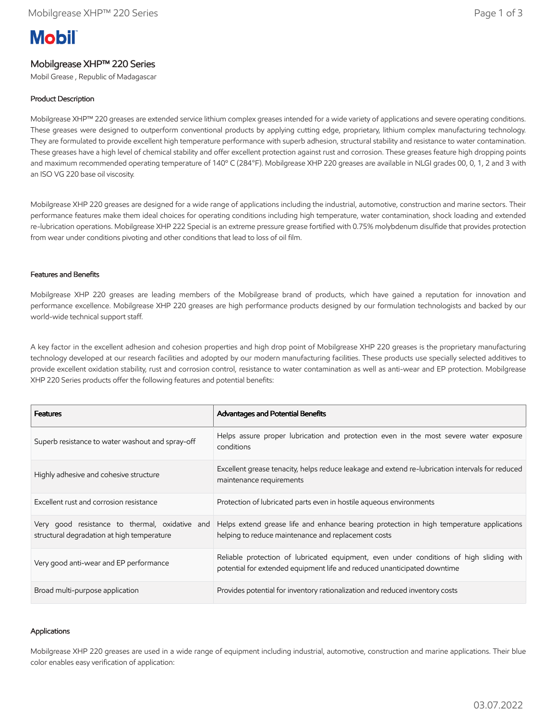# **Mobil**

# Mobilgrease XHP™ 220 Series

Mobil Grease , Republic of Madagascar

# Product Description

Mobilgrease XHP™ 220 greases are extended service lithium complex greases intended for a wide variety of applications and severe operating conditions. These greases were designed to outperform conventional products by applying cutting edge, proprietary, lithium complex manufacturing technology. They are formulated to provide excellent high temperature performance with superb adhesion, structural stability and resistance to water contamination. These greases have a high level of chemical stability and offer excellent protection against rust and corrosion. These greases feature high dropping points and maximum recommended operating temperature of 140º C (284°F). Mobilgrease XHP 220 greases are available in NLGI grades 00, 0, 1, 2 and 3 with an ISO VG 220 base oil viscosity.

Mobilgrease XHP 220 greases are designed for a wide range of applications including the industrial, automotive, construction and marine sectors. Their performance features make them ideal choices for operating conditions including high temperature, water contamination, shock loading and extended re-lubrication operations. Mobilgrease XHP 222 Special is an extreme pressure grease fortified with 0.75% molybdenum disulfide that provides protection from wear under conditions pivoting and other conditions that lead to loss of oil film.

## Features and Benefits

Mobilgrease XHP 220 greases are leading members of the Mobilgrease brand of products, which have gained a reputation for innovation and performance excellence. Mobilgrease XHP 220 greases are high performance products designed by our formulation technologists and backed by our world-wide technical support staff.

A key factor in the excellent adhesion and cohesion properties and high drop point of Mobilgrease XHP 220 greases is the proprietary manufacturing technology developed at our research facilities and adopted by our modern manufacturing facilities. These products use specially selected additives to provide excellent oxidation stability, rust and corrosion control, resistance to water contamination as well as anti-wear and EP protection. Mobilgrease XHP 220 Series products offer the following features and potential benefits:

| <b>Features</b>                                                                              | Advantages and Potential Benefits                                                                                                                                   |
|----------------------------------------------------------------------------------------------|---------------------------------------------------------------------------------------------------------------------------------------------------------------------|
| Superb resistance to water washout and spray-off                                             | Helps assure proper lubrication and protection even in the most severe water exposure<br>conditions                                                                 |
| Highly adhesive and cohesive structure                                                       | Excellent grease tenacity, helps reduce leakage and extend re-lubrication intervals for reduced<br>maintenance requirements                                         |
| Excellent rust and corrosion resistance                                                      | Protection of lubricated parts even in hostile agueous environments                                                                                                 |
| Very good resistance to thermal, oxidative and<br>structural degradation at high temperature | Helps extend grease life and enhance bearing protection in high temperature applications<br>helping to reduce maintenance and replacement costs                     |
| Very good anti-wear and EP performance                                                       | Reliable protection of lubricated equipment, even under conditions of high sliding with<br>potential for extended equipment life and reduced unanticipated downtime |
| Broad multi-purpose application                                                              | Provides potential for inventory rationalization and reduced inventory costs                                                                                        |

### Applications

Mobilgrease XHP 220 greases are used in a wide range of equipment including industrial, automotive, construction and marine applications. Their blue color enables easy verification of application: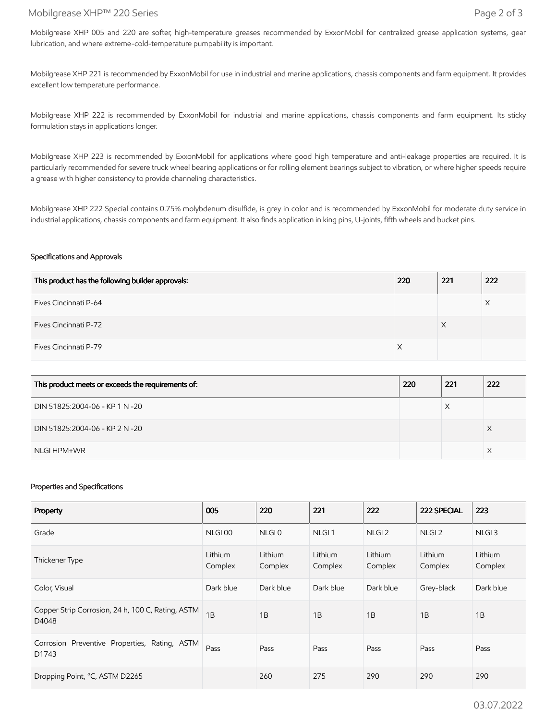## Mobilgrease XHP™ 220 Series Page 2 of 3

Mobilgrease XHP 005 and 220 are softer, high-temperature greases recommended by ExxonMobil for centralized grease application systems, gear lubrication, and where extreme-cold-temperature pumpability is important.

Mobilgrease XHP 221 is recommended by ExxonMobil for use in industrial and marine applications, chassis components and farm equipment. It provides excellent low temperature performance.

Mobilgrease XHP 222 is recommended by ExxonMobil for industrial and marine applications, chassis components and farm equipment. Its sticky formulation stays in applications longer.

Mobilgrease XHP 223 is recommended by ExxonMobil for applications where good high temperature and anti-leakage properties are required. It is particularly recommended for severe truck wheel bearing applications or for rolling element bearings subject to vibration, or where higher speeds require a grease with higher consistency to provide channeling characteristics.

Mobilgrease XHP 222 Special contains 0.75% molybdenum disulfide, is grey in color and is recommended by ExxonMobil for moderate duty service in industrial applications, chassis components and farm equipment. It also finds application in king pins, U-joints, fifth wheels and bucket pins.

### Specifications and Approvals

| This product has the following builder approvals: | 220 | 221 | 222 |
|---------------------------------------------------|-----|-----|-----|
| Fives Cincinnati P-64                             |     |     |     |
| <b>Fives Cincinnati P-72</b>                      |     | ⋏   |     |
| Fives Cincinnati P-79                             |     |     |     |

| This product meets or exceeds the requirements of: | 220 | 221 | 222 |
|----------------------------------------------------|-----|-----|-----|
| DIN 51825:2004-06 - KP 1 N -20                     |     |     |     |
| DIN 51825:2004-06 - KP 2 N -20                     |     |     |     |
| NLGI HPM+WR                                        |     |     |     |

#### Properties and Specifications

| Property                                                   | 005                | 220                | 221                | 222                | 222 SPECIAL        | 223                |
|------------------------------------------------------------|--------------------|--------------------|--------------------|--------------------|--------------------|--------------------|
| Grade                                                      | NLGI00             | NLGI <sub>0</sub>  | NLGI <sub>1</sub>  | NLGI <sub>2</sub>  | NLGI <sub>2</sub>  | NLGI <sub>3</sub>  |
| Thickener Type                                             | Lithium<br>Complex | Lithium<br>Complex | Lithium<br>Complex | Lithium<br>Complex | Lithium<br>Complex | Lithium<br>Complex |
| Color, Visual                                              | Dark blue          | Dark blue          | Dark blue          | Dark blue          | Grey-black         | Dark blue          |
| Copper Strip Corrosion, 24 h, 100 C, Rating, ASTM<br>D4048 | 1B                 | 1B                 | 1B                 | 1B                 | 1B                 | 1B                 |
| Corrosion Preventive Properties, Rating, ASTM<br>D1743     | Pass               | Pass               | Pass               | Pass               | Pass               | Pass               |
| Dropping Point, °C, ASTM D2265                             |                    | 260                | 275                | 290                | 290                | 290                |